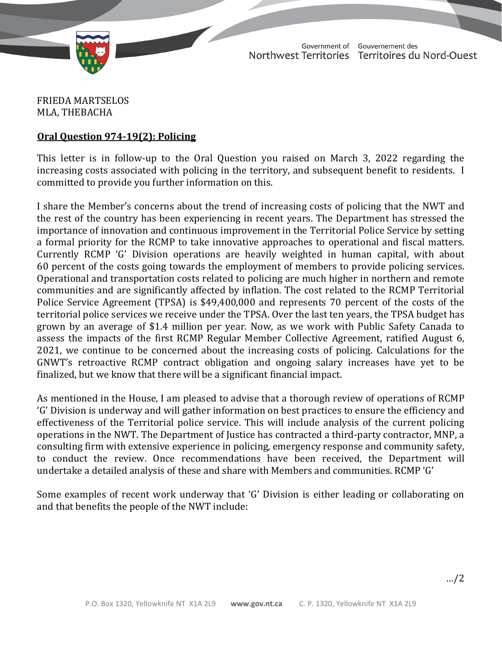

TD 601-19(2) TABLED ON MARCH 28, 2022

Government of Gouvernement des Northwest Territories Territoires du Nord-Ouest

FRIEDA MARTSELOS MLA, THEBACHA

## **Oral Question 974-19(2): Policing**

This letter is in follow-up to the Oral Question you raised on March 3, 2022 regarding the increasing costs associated with policing in the territory, and subsequent benefit to residents. I committed to provide you further information on this.

I share the Member's concerns about the trend of increasing costs of policing that the NWT and the rest of the country has been experiencing in recent years. The Department has stressed the importance of innovation and continuous improvement in the Territorial Police Service by setting a formal priority for the RCMP to take innovative approaches to operational and fiscal matters. Currently RCMP 'G' Division operations are heavily weighted in human capital, with about 60 percent of the costs going towards the employment of members to provide policing services. Operational and transportation costs related to policing are much higher in northern and remote communities and are significantly affected by inflation. The cost related to the RCMP Territorial Police Service Agreement (TPSA) is \$49,400,000 and represents 70 percent of the costs of the territorial police services we receive under the TPSA. Over the last ten years, the TPSA budget has grown by an average of \$1.4 million per year. Now, as we work with Public Safety Canada to assess the impacts of the first RCMP Regular Member Collective Agreement, ratified August 6, 2021, we continue to be concerned about the increasing costs of policing. Calculations for the GNWT's retroactive RCMP contract obligation and ongoing salary increases have yet to be finalized, but we know that there will be a significant financial impact.

As mentioned in the House, I am pleased to advise that a thorough review of operations of RCMP 'G' Division is underway and will gather information on best practices to ensure the efficiency and effectiveness of the Territorial police service. This will include analysis of the current policing operations in the NWT. The Department of Justice has contracted a third-party contractor, MNP, a consulting firm with extensive experience in policing, emergency response and community safety, to conduct the review. Once recommendations have been received, the Department will undertake a detailed analysis of these and share with Members and communities. RCMP 'G'

Some examples of recent work underway that 'G' Division is either leading or collaborating on and that benefits the people of the NWT include: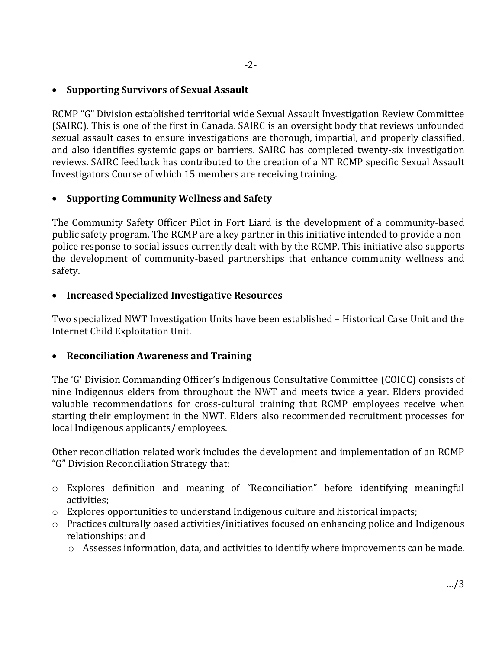# • **Supporting Survivors of Sexual Assault**

RCMP "G" Division established territorial wide Sexual Assault Investigation Review Committee (SAIRC). This is one of the first in Canada. SAIRC is an oversight body that reviews unfounded sexual assault cases to ensure investigations are thorough, impartial, and properly classified, and also identifies systemic gaps or barriers. SAIRC has completed twenty-six investigation reviews. SAIRC feedback has contributed to the creation of a NT RCMP specific Sexual Assault Investigators Course of which 15 members are receiving training.

## • **Supporting Community Wellness and Safety**

The Community Safety Officer Pilot in Fort Liard is the development of a community-based public safety program. The RCMP are a key partner in this initiative intended to provide a nonpolice response to social issues currently dealt with by the RCMP. This initiative also supports the development of community-based partnerships that enhance community wellness and safety.

### • **Increased Specialized Investigative Resources**

Two specialized NWT Investigation Units have been established – Historical Case Unit and the Internet Child Exploitation Unit.

### • **Reconciliation Awareness and Training**

The 'G' Division Commanding Officer's Indigenous Consultative Committee (COICC) consists of nine Indigenous elders from throughout the NWT and meets twice a year. Elders provided valuable recommendations for cross-cultural training that RCMP employees receive when starting their employment in the NWT. Elders also recommended recruitment processes for local Indigenous applicants/ employees.

Other reconciliation related work includes the development and implementation of an RCMP "G" Division Reconciliation Strategy that:

- o Explores definition and meaning of "Reconciliation" before identifying meaningful activities;
- $\circ$  Explores opportunities to understand Indigenous culture and historical impacts;
- o Practices culturally based activities/initiatives focused on enhancing police and Indigenous relationships; and
	- o Assesses information, data, and activities to identify where improvements can be made.